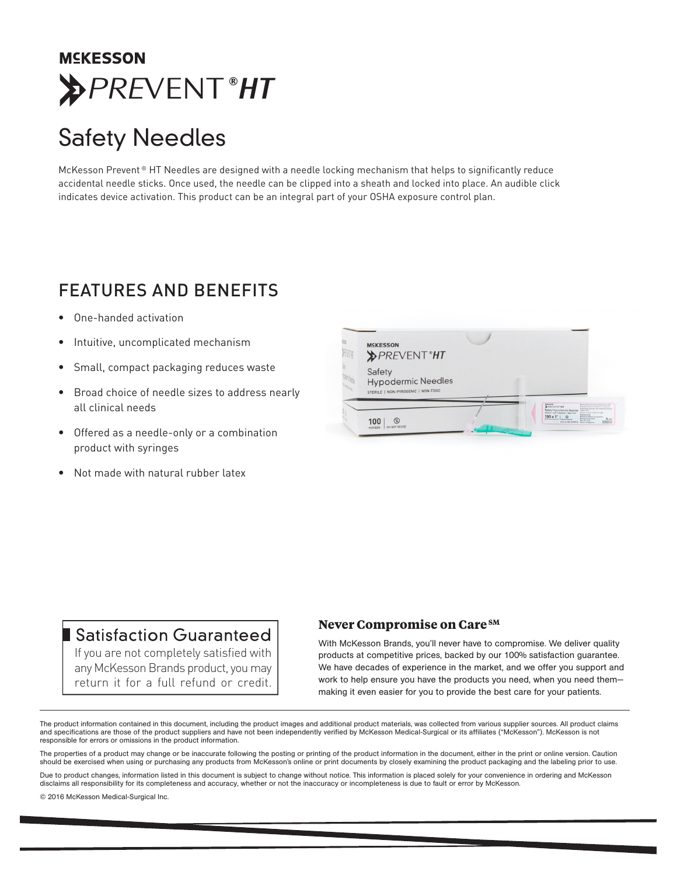## **MCKESSON** *PRE*VENT**®***HT*

# Safety Needles

McKesson Prevent ® HT Needles are designed with a needle locking mechanism that helps to significantly reduce accidental needle sticks. Once used, the needle can be clipped into a sheath and locked into place. An audible click indicates device activation. This product can be an integral part of your OSHA exposure control plan.

## FEATURES AND BENEFITS

- One-handed activation
- Intuitive, uncomplicated mechanism
- Small, compact packaging reduces waste
- Broad choice of needle sizes to address nearly all clinical needs
- Offered as a needle-only or a combination product with syringes
- Not made with natural rubber latex



### **Satisfaction Guaranteed**

If you are not completely satisfied with any McKesson Brands product, you may return it for a full refund or credit.

#### **Never Compromise on Care SM**

With McKesson Brands, you'll never have to compromise. We deliver quality products at competitive prices, backed by our 100% satisfaction guarantee. We have decades of experience in the market, and we offer you support and work to help ensure you have the products you need, when you need them making it even easier for you to provide the best care for your patients.

The product information contained in this document, including the product images and additional product materials, was collected from various supplier sources. All product claims and specifications are those of the product suppliers and have not been independently verified by McKesson Medical-Surgical or its affiliates ("McKesson"). McKesson is not responsible for errors or omissions in the product information.

The properties of a product may change or be inaccurate following the posting or printing of the product information in the document, either in the print or online version. Caution should be exercised when using or purchasing any products from McKesson's online or print documents by closely examining the product packaging and the labeling prior to use.

Due to product changes, information listed in this document is subject to change without notice. This information is placed solely for your convenience in ordering and McKesson disclaims all responsibility for its completeness and accuracy, whether or not the inaccuracy or incompleteness is due to fault or error by McKesson.

© 2016 McKesson Medical-Surgical Inc.